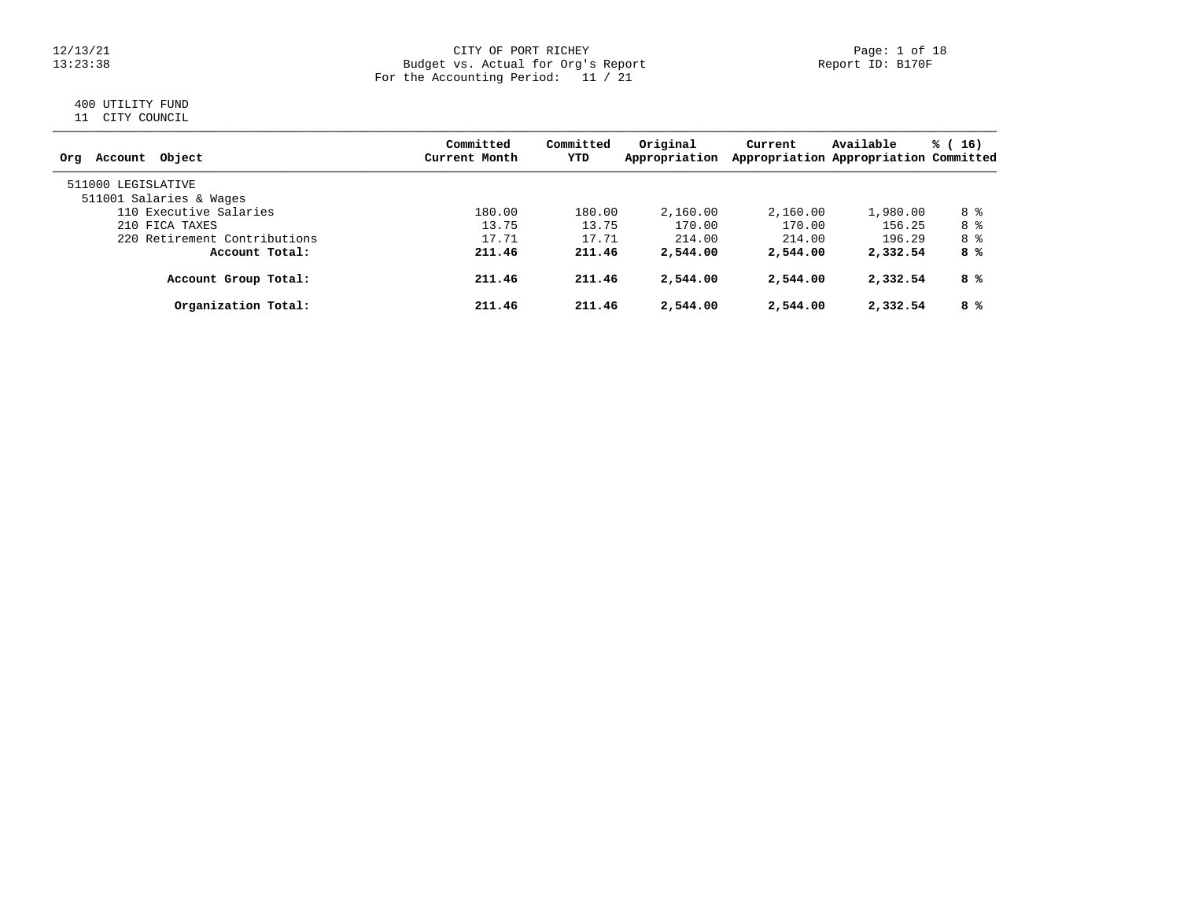### 12/13/21 CITY OF PORT RICHEY Page: 1 of 18 13:23:38 Budget vs. Actual for Org's Report Report ID: B170F For the Accounting Period: 11 / 21

# 400 UTILITY FUND

11 CITY COUNCIL

| Account Object<br>Orq                         | Committed<br>Current Month | Committed<br>YTD | Original<br>Appropriation | Current  | Available<br>Appropriation Appropriation Committed | % (16) |
|-----------------------------------------------|----------------------------|------------------|---------------------------|----------|----------------------------------------------------|--------|
| 511000 LEGISLATIVE<br>511001 Salaries & Wages |                            |                  |                           |          |                                                    |        |
| 110 Executive Salaries                        | 180.00                     | 180.00           | 2,160.00                  | 2,160.00 | 1,980.00                                           | 8 %    |
| 210 FICA TAXES                                | 13.75                      | 13.75            | 170.00                    | 170.00   | 156.25                                             | 8 %    |
| 220 Retirement Contributions                  | 17.71                      | 17.71            | 214.00                    | 214.00   | 196.29                                             | 8 %    |
| Account Total:                                | 211.46                     | 211.46           | 2,544.00                  | 2,544.00 | 2,332.54                                           | 8 %    |
| Account Group Total:                          | 211.46                     | 211.46           | 2,544.00                  | 2,544.00 | 2,332.54                                           | 8 %    |
| Organization Total:                           | 211.46                     | 211.46           | 2,544.00                  | 2,544.00 | 2,332.54                                           | 8 %    |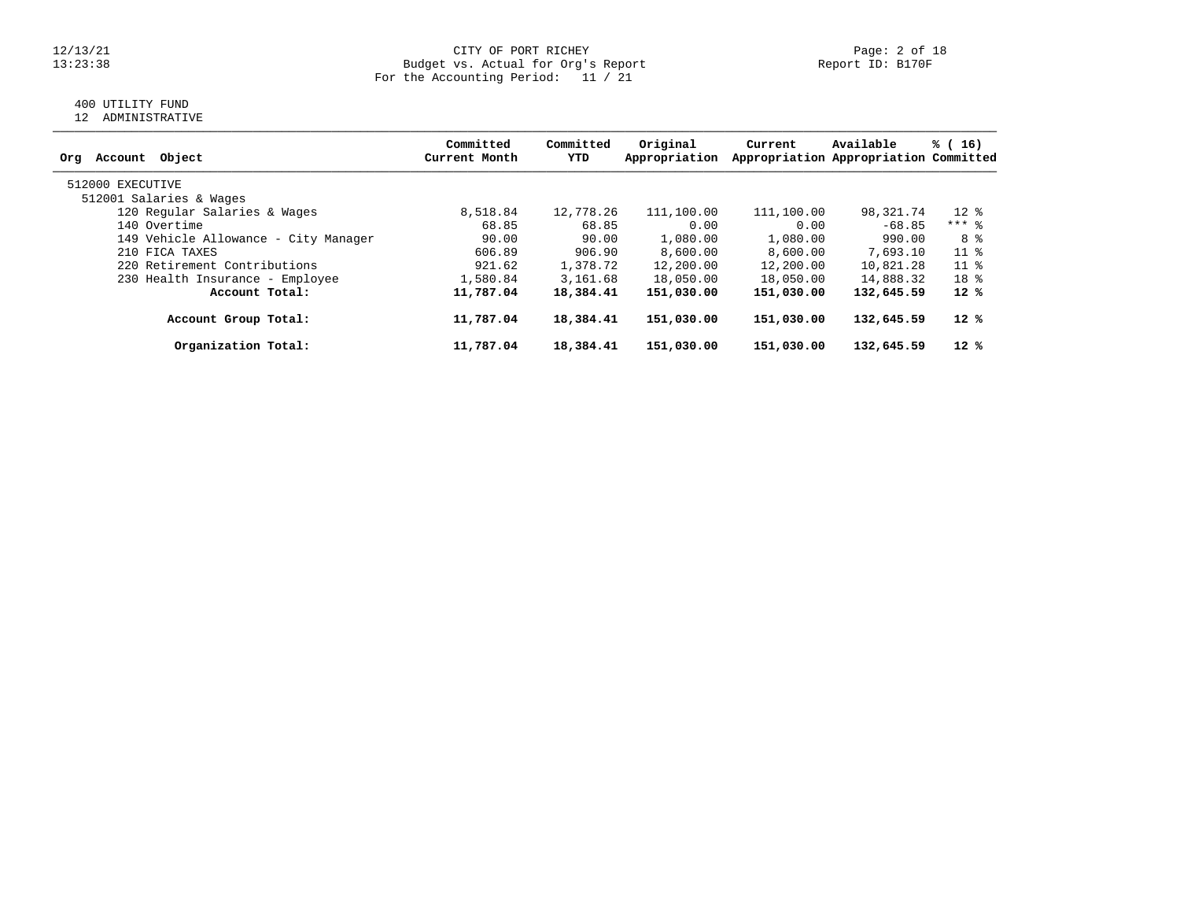### 12/13/21 CITY OF PORT RICHEY Page: 2 of 18 13:23:38 Budget vs. Actual for Org's Report Report ID: B170F For the Accounting Period: 11 / 21

# 400 UTILITY FUND

12 ADMINISTRATIVE

| Object<br>Account<br>Orq             | Committed<br>Current Month | Committed<br>YTD | Original<br>Appropriation | Current    | Available<br>Appropriation Appropriation Committed | % (16)          |
|--------------------------------------|----------------------------|------------------|---------------------------|------------|----------------------------------------------------|-----------------|
| 512000 EXECUTIVE                     |                            |                  |                           |            |                                                    |                 |
| 512001 Salaries & Wages              |                            |                  |                           |            |                                                    |                 |
| 120 Regular Salaries & Wages         | 8,518.84                   | 12,778.26        | 111,100.00                | 111,100.00 | 98,321.74                                          | $12*$           |
| 140 Overtime                         | 68.85                      | 68.85            | 0.00                      | 0.00       | $-68.85$                                           | $***$ 8         |
| 149 Vehicle Allowance - City Manager | 90.00                      | 90.00            | 1,080.00                  | 1,080.00   | 990.00                                             | 8 %             |
| 210 FICA TAXES                       | 606.89                     | 906.90           | 8,600.00                  | 8,600.00   | 7,693.10                                           | $11*$           |
| 220 Retirement Contributions         | 921.62                     | 1,378.72         | 12,200.00                 | 12,200.00  | 10,821.28                                          | 11 <sup>8</sup> |
| 230 Health Insurance - Employee      | 1,580.84                   | 3,161.68         | 18,050.00                 | 18,050.00  | 14,888.32                                          | 18 <sup>8</sup> |
| Account Total:                       | 11,787.04                  | 18,384.41        | 151,030.00                | 151,030.00 | 132,645.59                                         | $12*$           |
| Account Group Total:                 | 11,787.04                  | 18,384.41        | 151,030.00                | 151,030.00 | 132,645.59                                         | 12 %            |
| Organization Total:                  | 11,787.04                  | 18,384.41        | 151,030.00                | 151,030.00 | 132,645.59                                         | $12*$           |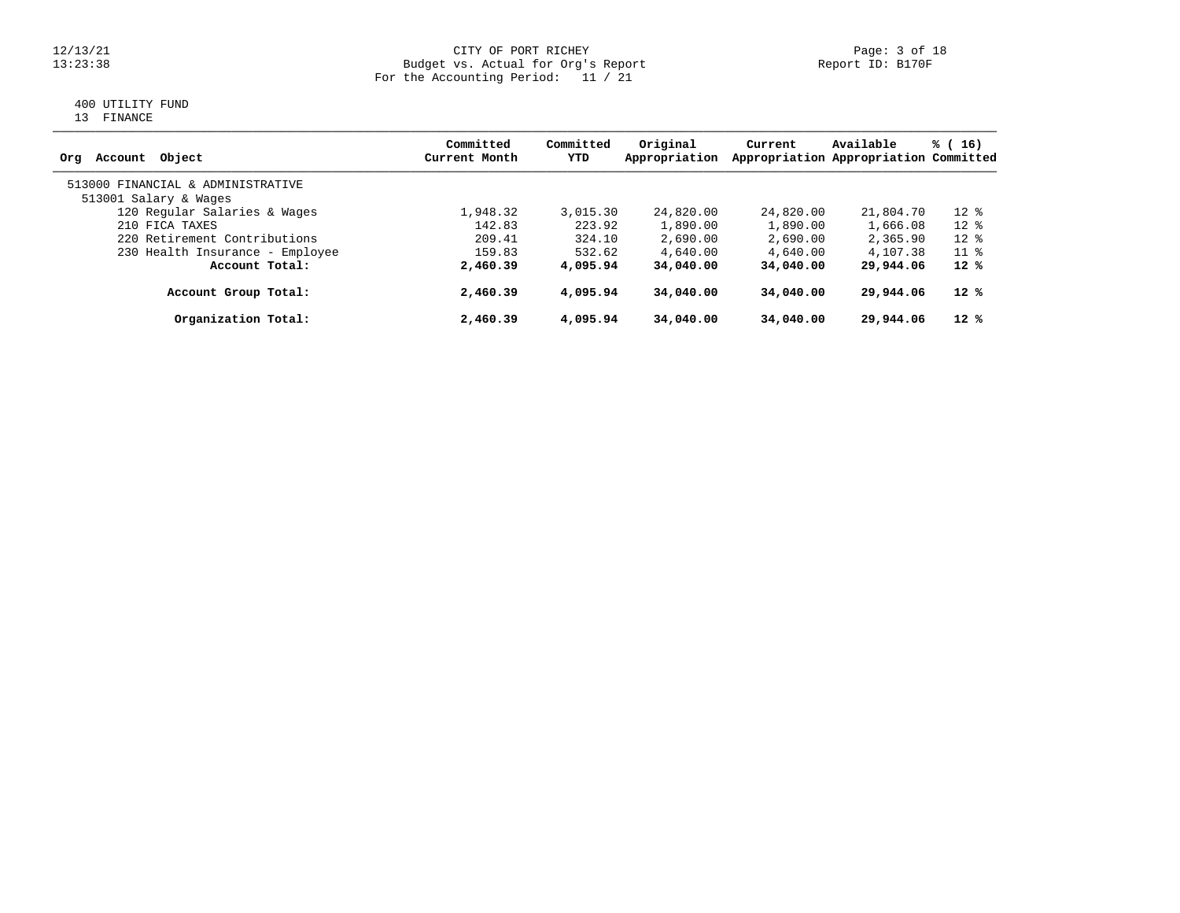### 12/13/21 CITY OF PORT RICHEY Page: 3 of 18<br>13:23:38 Budget vs. Actual for Org's Report Page: 13 Report ID: B170F 13:23:38 Budget vs. Actual for Org's Report Report ID: B170F For the Accounting Period: 11 / 21

# 400 UTILITY FUND

13 FINANCE

| Object<br>Account<br>Ora          | Committed<br>Current Month | Committed<br>YTD | Original<br>Appropriation | Current   | Available<br>Appropriation Appropriation Committed | % (16) |
|-----------------------------------|----------------------------|------------------|---------------------------|-----------|----------------------------------------------------|--------|
| 513000 FINANCIAL & ADMINISTRATIVE |                            |                  |                           |           |                                                    |        |
| 513001 Salary & Wages             |                            |                  |                           |           |                                                    |        |
| 120 Regular Salaries & Wages      | 1,948.32                   | 3,015.30         | 24,820.00                 | 24,820.00 | 21,804.70                                          | $12*$  |
| 210 FICA TAXES                    | 142.83                     | 223.92           | 1,890.00                  | 1,890.00  | 1,666.08                                           | $12*$  |
| 220 Retirement Contributions      | 209.41                     | 324.10           | 2,690.00                  | 2,690.00  | 2,365.90                                           | $12*$  |
| 230 Health Insurance - Employee   | 159.83                     | 532.62           | 4,640.00                  | 4,640.00  | 4,107.38                                           | $11*$  |
| Account Total:                    | 2,460.39                   | 4,095.94         | 34,040.00                 | 34,040,00 | 29,944.06                                          | $12*$  |
| Account Group Total:              | 2,460.39                   | 4,095.94         | 34,040.00                 | 34,040,00 | 29,944.06                                          | $12*$  |
| Organization Total:               | 2,460.39                   | 4,095.94         | 34,040.00                 | 34,040.00 | 29,944.06                                          | $12*$  |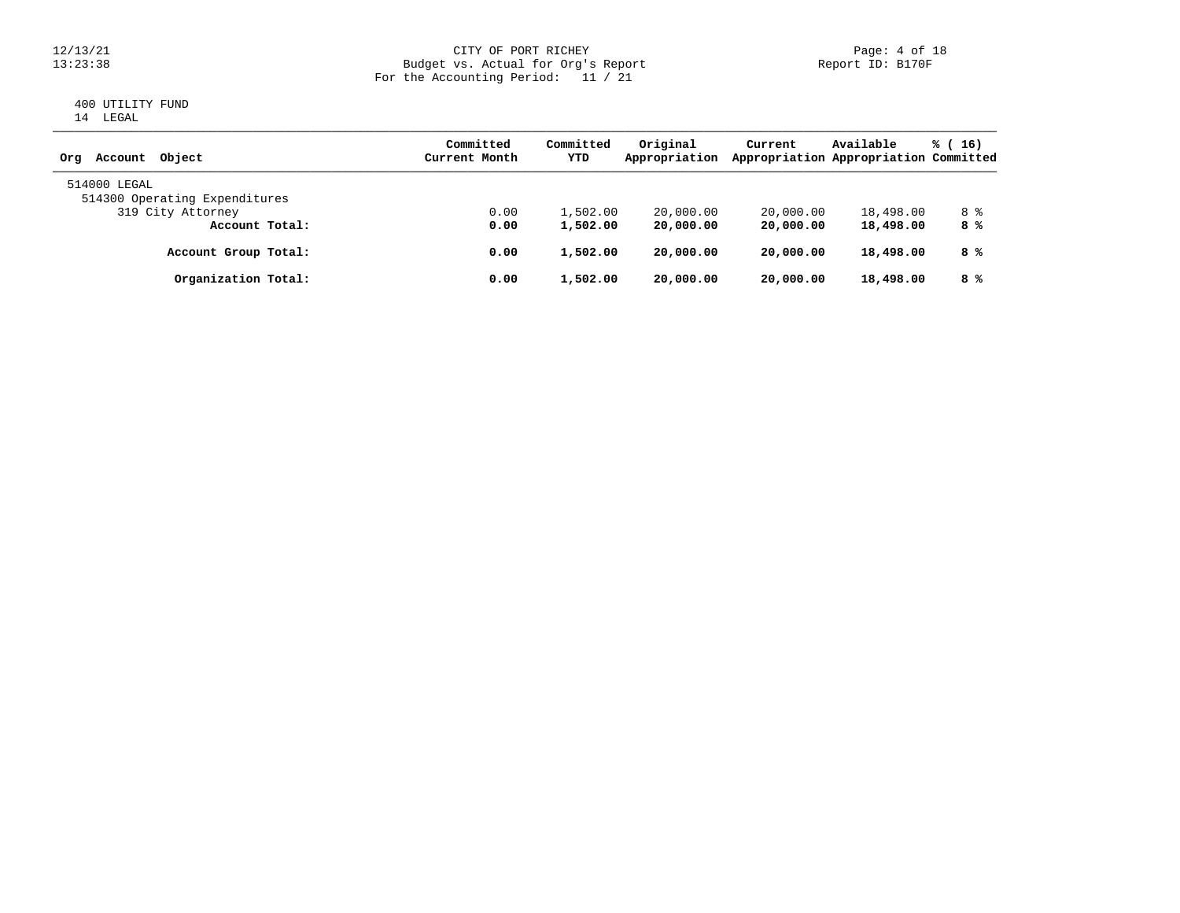### 12/13/21 CITY OF PORT RICHEY Page: 4 of 18<br>13:23:38 Budget vs. Actual for Org's Report Page: 4 Of 18<br>Report ID: B170F 13:23:38 Budget vs. Actual for Org's Report Report ID: B170F For the Accounting Period: 11 / 21

### 400 UTILITY FUND 14 LEGAL

|                                               | Committed     | Committed | Original      | Current   | Available                             | $\frac{1}{6}$ (16) |
|-----------------------------------------------|---------------|-----------|---------------|-----------|---------------------------------------|--------------------|
| Account Object<br>Orq                         | Current Month | YTD       | Appropriation |           | Appropriation Appropriation Committed |                    |
| 514000 LEGAL<br>514300 Operating Expenditures |               |           |               |           |                                       |                    |
| 319 City Attorney                             | 0.00          | 1,502.00  | 20,000.00     | 20,000.00 | 18,498.00                             | 8 %                |
| Account Total:                                | 0.00          | 1,502.00  | 20,000.00     | 20,000.00 | 18,498.00                             | 8 %                |
| Account Group Total:                          | 0.00          | 1,502.00  | 20,000.00     | 20,000.00 | 18,498.00                             | 8 %                |
| Organization Total:                           | 0.00          | 1,502.00  | 20,000.00     | 20,000.00 | 18,498.00                             | 8 %                |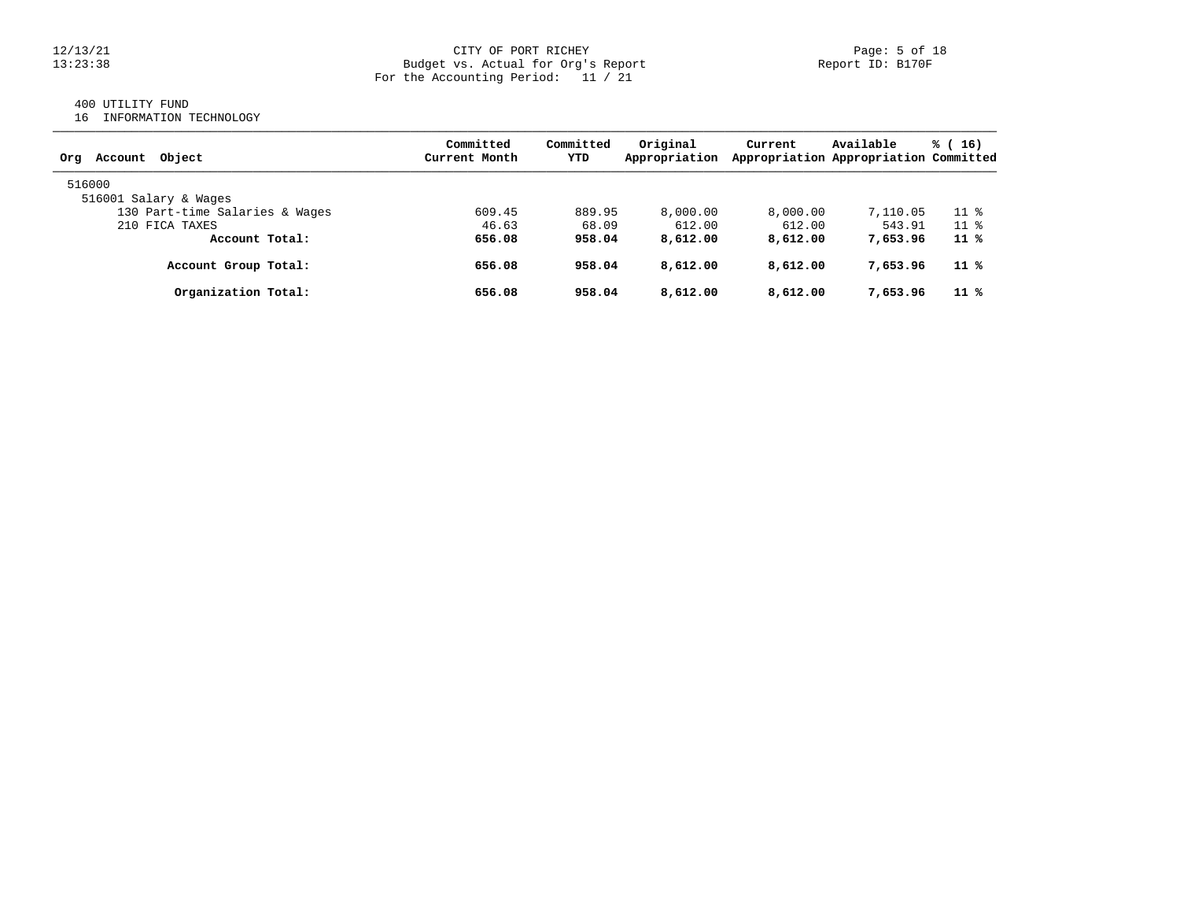#### 12/13/21 CITY OF PORT RICHEY Page: 5 of 18 13:23:38 Budget vs. Actual for Org's Report Report ID: B170F For the Accounting Period: 11 / 21

# 400 UTILITY FUND

16 INFORMATION TECHNOLOGY

| Account Object<br>Org          | Committed<br>Current Month | Committed<br>YTD | Original<br>Appropriation | Current  | Available<br>Appropriation Appropriation Committed | $\frac{1}{6}$ (16)       |
|--------------------------------|----------------------------|------------------|---------------------------|----------|----------------------------------------------------|--------------------------|
| 516000                         |                            |                  |                           |          |                                                    |                          |
| 516001 Salary & Wages          |                            |                  |                           |          |                                                    |                          |
| 130 Part-time Salaries & Wages | 609.45                     | 889.95           | 8,000.00                  | 8,000.00 | 7,110.05                                           | 11 <sup>8</sup>          |
| 210 FICA TAXES                 | 46.63                      | 68.09            | 612.00                    | 612.00   | 543.91                                             | $11 \text{ }$ $\text{*}$ |
| Account Total:                 | 656.08                     | 958.04           | 8,612.00                  | 8,612.00 | 7,653.96                                           | 11 %                     |
| Account Group Total:           | 656.08                     | 958.04           | 8,612.00                  | 8,612.00 | 7,653.96                                           | 11 %                     |
| Organization Total:            | 656.08                     | 958.04           | 8,612.00                  | 8,612.00 | 7,653.96                                           | 11 %                     |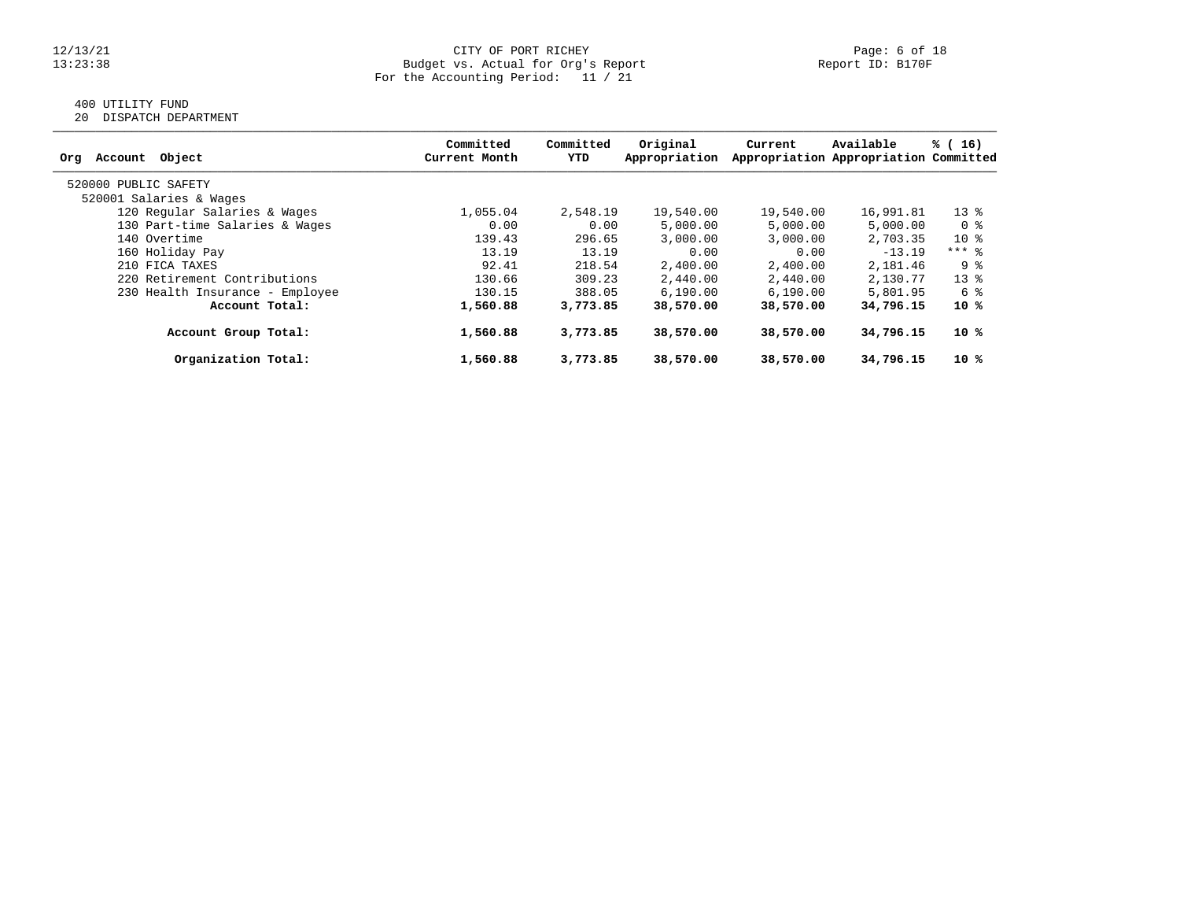### 12/13/21 CITY OF PORT RICHEY Page: 6 of 18 13:23:38 Budget vs. Actual for Org's Report Report ID: B170F For the Accounting Period: 11 / 21

# 400 UTILITY FUND

20 DISPATCH DEPARTMENT

| Object<br>Account<br>Org        | Committed<br>Current Month | Committed<br>YTD | Original<br>Appropriation | Current   | Available<br>Appropriation Appropriation Committed | % (16)  |
|---------------------------------|----------------------------|------------------|---------------------------|-----------|----------------------------------------------------|---------|
| 520000 PUBLIC SAFETY            |                            |                  |                           |           |                                                    |         |
| 520001 Salaries & Wages         |                            |                  |                           |           |                                                    |         |
| 120 Regular Salaries & Wages    | 1,055.04                   | 2,548.19         | 19,540.00                 | 19,540.00 | 16,991.81                                          | $13*$   |
| 130 Part-time Salaries & Wages  | 0.00                       | 0.00             | 5,000.00                  | 5,000.00  | 5,000.00                                           | 0 %     |
| 140 Overtime                    | 139.43                     | 296.65           | 3,000.00                  | 3,000.00  | 2,703.35                                           | $10*$   |
| 160 Holiday Pay                 | 13.19                      | 13.19            | 0.00                      | 0.00      | $-13.19$                                           | $***$ 8 |
| 210 FICA TAXES                  | 92.41                      | 218.54           | 2,400.00                  | 2,400.00  | 2,181.46                                           | 9 %     |
| 220 Retirement Contributions    | 130.66                     | 309.23           | 2,440.00                  | 2,440.00  | 2,130.77                                           | $13*$   |
| 230 Health Insurance - Employee | 130.15                     | 388.05           | 6,190.00                  | 6, 190.00 | 5,801.95                                           | 6 %     |
| Account Total:                  | 1,560.88                   | 3,773.85         | 38,570.00                 | 38,570.00 | 34,796.15                                          | 10 %    |
| Account Group Total:            | 1,560.88                   | 3,773.85         | 38,570.00                 | 38,570.00 | 34,796.15                                          | 10 %    |
| Organization Total:             | 1,560.88                   | 3,773.85         | 38,570.00                 | 38,570.00 | 34,796.15                                          | 10 %    |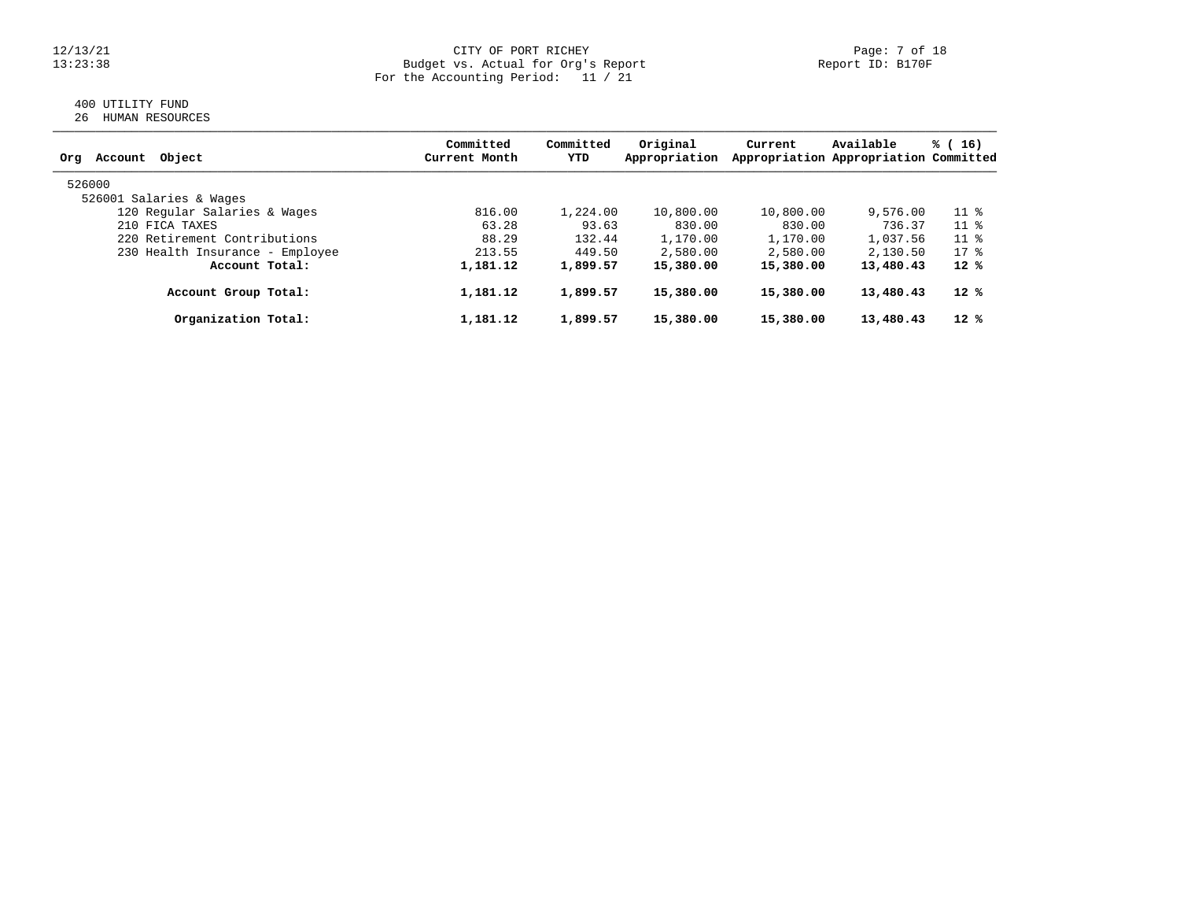### 12/13/21 CITY OF PORT RICHEY PAGE: 7 OF 18<br>13:23:38 Budget vs. Actual for Org's Report Page: 7 Of 18 13:23:38 Budget vs. Actual for Org's Report Report ID: B170F For the Accounting Period: 11 / 21

### 400 UTILITY FUND 26 HUMAN RESOURCES

| Object<br>Account<br>Org        | Committed<br>Current Month | Committed<br>YTD | Original<br>Appropriation | Current   | Available<br>Appropriation Appropriation Committed | % (16) |
|---------------------------------|----------------------------|------------------|---------------------------|-----------|----------------------------------------------------|--------|
| 526000                          |                            |                  |                           |           |                                                    |        |
| 526001 Salaries & Wages         |                            |                  |                           |           |                                                    |        |
| 120 Regular Salaries & Wages    | 816.00                     | 1,224.00         | 10,800.00                 | 10,800.00 | 9,576.00                                           | $11$ % |
| 210 FICA TAXES                  | 63.28                      | 93.63            | 830.00                    | 830.00    | 736.37                                             | $11*$  |
| 220 Retirement Contributions    | 88.29                      | 132.44           | 1,170.00                  | 1,170.00  | 1,037.56                                           | $11*$  |
| 230 Health Insurance - Employee | 213.55                     | 449.50           | 2,580.00                  | 2,580.00  | 2,130.50                                           | $17*$  |
| Account Total:                  | 1,181.12                   | 1,899.57         | 15,380.00                 | 15,380.00 | 13,480.43                                          | $12*$  |
| Account Group Total:            | 1,181.12                   | 1,899.57         | 15,380.00                 | 15,380.00 | 13,480.43                                          | $12*$  |
| Organization Total:             | 1,181.12                   | 1,899.57         | 15,380.00                 | 15,380.00 | 13,480.43                                          | $12*$  |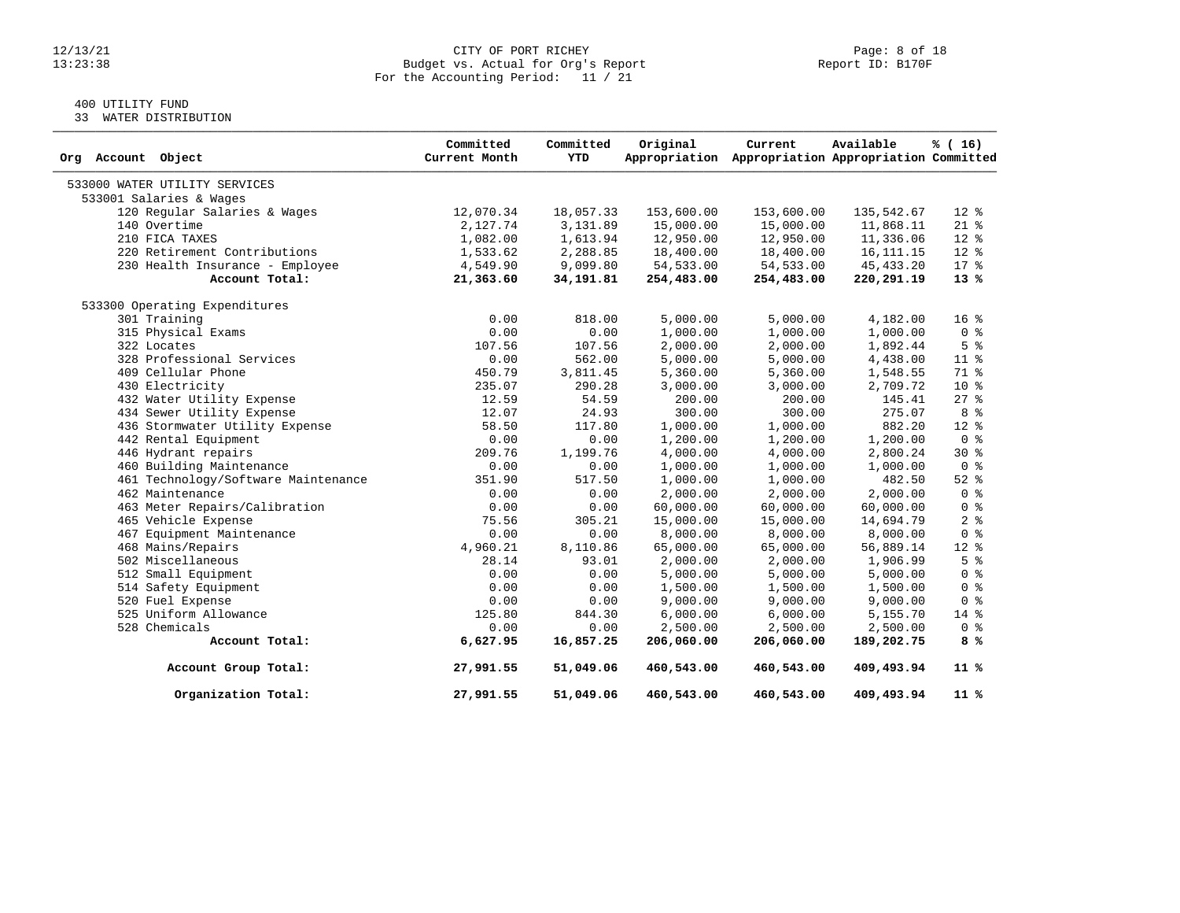### 12/13/21 CITY OF PORT RICHEY PAGE: 8 of 18<br>13:23:38 Budget vs. Actual for Org's Report Page: 19 Report ID: B170F 13:23:38 Budget vs. Actual for Org's Report Report ID: B170F For the Accounting Period: 11 / 21

# 400 UTILITY FUND

33 WATER DISTRIBUTION

| Org Account Object                  | Committed<br>Current Month | Committed<br>YTD | Original   | Current<br>Appropriation Appropriation Appropriation Committed | Available   | % (16)          |
|-------------------------------------|----------------------------|------------------|------------|----------------------------------------------------------------|-------------|-----------------|
| 533000 WATER UTILITY SERVICES       |                            |                  |            |                                                                |             |                 |
| 533001 Salaries & Wages             |                            |                  |            |                                                                |             |                 |
| 120 Regular Salaries & Wages        | 12,070.34                  | 18,057.33        | 153,600.00 | 153,600.00                                                     | 135,542.67  | $12$ %          |
| 140 Overtime                        | 2,127.74                   | 3,131.89         | 15,000.00  | 15,000.00                                                      | 11,868.11   | $21*$           |
| 210 FICA TAXES                      | 1,082.00                   | 1,613.94         | 12,950.00  | 12,950.00                                                      | 11,336.06   | $12$ %          |
| 220 Retirement Contributions        | 1,533.62                   | 2,288.85         | 18,400.00  | 18,400.00                                                      | 16, 111. 15 | $12$ %          |
| 230 Health Insurance - Employee     | 4,549.90                   | 9,099.80         | 54,533.00  | 54,533.00                                                      | 45, 433.20  | $17*$           |
| Account Total:                      | 21,363.60                  | 34,191.81        | 254,483.00 | 254,483.00                                                     | 220,291.19  | $13*$           |
| 533300 Operating Expenditures       |                            |                  |            |                                                                |             |                 |
| 301 Training                        | 0.00                       | 818.00           | 5,000.00   | 5,000.00                                                       | 4,182.00    | 16 <sup>°</sup> |
| 315 Physical Exams                  | 0.00                       | 0.00             | 1,000.00   | 1,000.00                                                       | 1,000.00    | 0 <sup>8</sup>  |
| 322 Locates                         | 107.56                     | 107.56           | 2,000.00   | 2,000.00                                                       | 1,892.44    | 5 <sup>8</sup>  |
| 328 Professional Services           | 0.00                       | 562.00           | 5,000.00   | 5,000.00                                                       | 4,438.00    | $11*$           |
| 409 Cellular Phone                  | 450.79                     | 3,811.45         | 5,360.00   | 5,360.00                                                       | 1,548.55    | 71.8            |
| 430 Electricity                     | 235.07                     | 290.28           | 3,000.00   | 3,000.00                                                       | 2,709.72    | $10*$           |
| 432 Water Utility Expense           | 12.59                      | 54.59            | 200.00     | 200.00                                                         | 145.41      | $27$ %          |
| 434 Sewer Utility Expense           | 12.07                      | 24.93            | 300.00     | 300.00                                                         | 275.07      | 8 %             |
| 436 Stormwater Utility Expense      | 58.50                      | 117.80           | 1,000.00   | 1,000.00                                                       | 882.20      | $12*$           |
| 442 Rental Equipment                | 0.00                       | 0.00             | 1,200.00   | 1,200.00                                                       | 1,200.00    | 0 <sup>8</sup>  |
| 446 Hydrant repairs                 | 209.76                     | 1,199.76         | 4,000.00   | 4,000.00                                                       | 2,800.24    | $30*$           |
| 460 Building Maintenance            | 0.00                       | 0.00             | 1,000.00   | 1,000.00                                                       | 1,000.00    | 0 <sup>8</sup>  |
| 461 Technology/Software Maintenance | 351.90                     | 517.50           | 1,000.00   | 1,000.00                                                       | 482.50      | $52$ $%$        |
| 462 Maintenance                     | 0.00                       | 0.00             | 2,000.00   | 2,000.00                                                       | 2,000.00    | 0 <sup>8</sup>  |
| 463 Meter Repairs/Calibration       | 0.00                       | 0.00             | 60,000.00  | 60,000.00                                                      | 60,000.00   | 0 <sup>8</sup>  |
| 465 Vehicle Expense                 | 75.56                      | 305.21           | 15,000.00  | 15,000.00                                                      | 14,694.79   | 2 <sup>8</sup>  |
| 467 Equipment Maintenance           | 0.00                       | 0.00             | 8,000.00   | 8,000.00                                                       | 8,000.00    | 0 <sup>8</sup>  |
| 468 Mains/Repairs                   | 4,960.21                   | 8,110.86         | 65,000.00  | 65,000.00                                                      | 56,889.14   | $12*$           |
| 502 Miscellaneous                   | 28.14                      | 93.01            | 2,000.00   | 2,000.00                                                       | 1,906.99    | 5 <sup>8</sup>  |
| 512 Small Equipment                 | 0.00                       | 0.00             | 5,000.00   | 5,000.00                                                       | 5,000.00    | 0 <sup>8</sup>  |
| 514 Safety Equipment                | 0.00                       | 0.00             | 1,500.00   | 1,500.00                                                       | 1,500.00    | 0 <sup>8</sup>  |
| 520 Fuel Expense                    | 0.00                       | 0.00             | 9,000.00   | 9,000.00                                                       | 9,000.00    | 0 <sup>8</sup>  |
| 525 Uniform Allowance               | 125.80                     | 844.30           | 6,000.00   | 6,000.00                                                       | 5,155.70    | $14*$           |
| 528 Chemicals                       | 0.00                       | 0.00             | 2,500.00   | 2,500.00                                                       | 2,500.00    | 0 <sup>8</sup>  |
| Account Total:                      | 6,627.95                   | 16,857.25        | 206,060.00 | 206,060.00                                                     | 189,202.75  | 8 %             |
| Account Group Total:                | 27,991.55                  | 51,049.06        | 460,543.00 | 460,543.00                                                     | 409,493.94  | $11*$           |
| Organization Total:                 | 27,991.55                  | 51,049.06        | 460,543.00 | 460,543.00                                                     | 409,493.94  | 11 %            |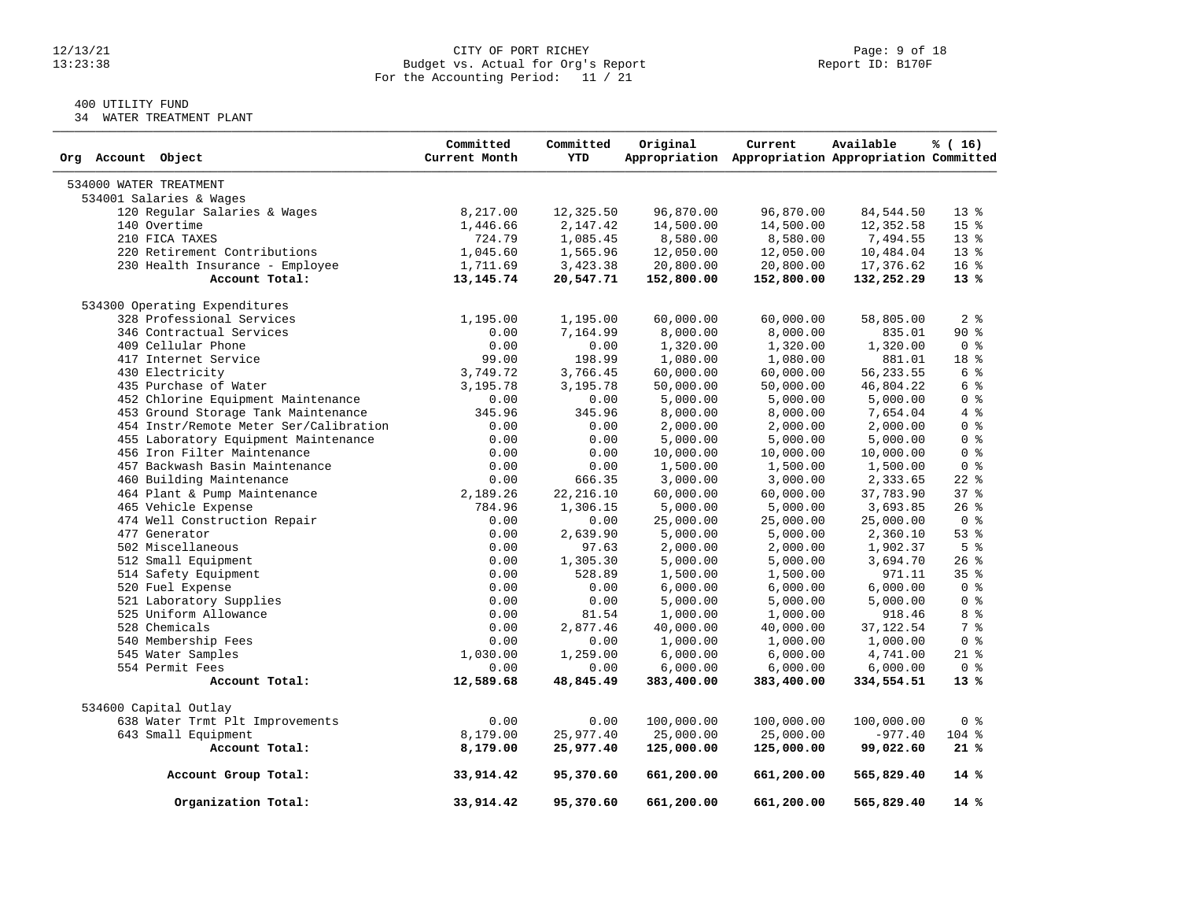### 12/13/21 CITY OF PORT RICHEY PAGE: 9 Of 18<br>13:23:38 Budget vs. Actual for Org's Report Page: 9 Of 18<br>Report ID: B170F Budget vs. Actual for Org's Report For the Accounting Period: 11 / 21

# 400 UTILITY FUND

34 WATER TREATMENT PLANT

| Org Account Object                     | Committed<br>Current Month | Committed<br><b>YTD</b> | Original   | Current<br>Appropriation Appropriation Appropriation Committed | Available  | % (16)          |
|----------------------------------------|----------------------------|-------------------------|------------|----------------------------------------------------------------|------------|-----------------|
| 534000 WATER TREATMENT                 |                            |                         |            |                                                                |            |                 |
| 534001 Salaries & Wages                |                            |                         |            |                                                                |            |                 |
| 120 Regular Salaries & Wages           | 8,217.00                   | 12,325.50               | 96,870.00  | 96,870.00                                                      | 84,544.50  | $13*$           |
| 140 Overtime                           | 1,446.66                   | 2,147.42                | 14,500.00  | 14,500.00                                                      | 12,352.58  | 15 <sup>°</sup> |
| 210 FICA TAXES                         | 724.79                     | 1,085.45                | 8,580.00   | 8,580.00                                                       | 7,494.55   | $13*$           |
| 220 Retirement Contributions           | 1,045.60                   | 1,565.96                | 12,050.00  | 12,050.00                                                      | 10,484.04  | $13*$           |
| 230 Health Insurance - Employee        | 1,711.69                   | 3,423.38                | 20,800.00  | 20,800.00                                                      | 17,376.62  | 16 <sup>8</sup> |
| Account Total:                         | 13, 145. 74                | 20,547.71               | 152,800.00 | 152,800.00                                                     | 132,252.29 | $13*$           |
| 534300 Operating Expenditures          |                            |                         |            |                                                                |            |                 |
| 328 Professional Services              | 1,195.00                   | 1,195.00                | 60,000.00  | 60,000.00                                                      | 58,805.00  | 2 <sub>8</sub>  |
| 346 Contractual Services               | 0.00                       | 7,164.99                | 8,000.00   | 8,000.00                                                       | 835.01     | $90*$           |
| 409 Cellular Phone                     | 0.00                       | 0.00                    | 1,320.00   | 1,320.00                                                       | 1,320.00   | 0 <sup>8</sup>  |
| 417 Internet Service                   | 99.00                      | 198.99                  | 1,080.00   | 1,080.00                                                       | 881.01     | 18 %            |
| 430 Electricity                        | 3,749.72                   | 3,766.45                | 60,000.00  | 60,000.00                                                      | 56, 233.55 | 6 %             |
| 435 Purchase of Water                  | 3,195.78                   | 3,195.78                | 50,000.00  | 50,000.00                                                      | 46,804.22  | 6 %             |
| 452 Chlorine Equipment Maintenance     | 0.00                       | 0.00                    | 5,000.00   | 5,000.00                                                       | 5,000.00   | 0 <sup>8</sup>  |
| 453 Ground Storage Tank Maintenance    | 345.96                     | 345.96                  | 8,000.00   | 8,000.00                                                       | 7,654.04   | 4%              |
| 454 Instr/Remote Meter Ser/Calibration | 0.00                       | 0.00                    | 2,000.00   | 2,000.00                                                       | 2,000.00   | 0 <sup>8</sup>  |
| 455 Laboratory Equipment Maintenance   | 0.00                       | 0.00                    | 5,000.00   | 5,000.00                                                       | 5,000.00   | 0 <sup>8</sup>  |
| 456 Iron Filter Maintenance            | 0.00                       | 0.00                    | 10,000.00  | 10,000.00                                                      | 10,000.00  | 0 <sup>8</sup>  |
| 457 Backwash Basin Maintenance         | 0.00                       | 0.00                    | 1,500.00   | 1,500.00                                                       | 1,500.00   | 0 <sup>8</sup>  |
| 460 Building Maintenance               | 0.00                       | 666.35                  | 3,000.00   | 3,000.00                                                       | 2,333.65   | $22$ $%$        |
| 464 Plant & Pump Maintenance           | 2,189.26                   | 22, 216.10              | 60,000.00  | 60,000.00                                                      | 37,783.90  | 37%             |
| 465 Vehicle Expense                    | 784.96                     | 1,306.15                | 5,000.00   | 5,000.00                                                       | 3,693.85   | $26$ %          |
| 474 Well Construction Repair           | 0.00                       | 0.00                    | 25,000.00  | 25,000.00                                                      | 25,000.00  | 0 <sup>8</sup>  |
| 477 Generator                          | 0.00                       | 2,639.90                | 5,000.00   | 5,000.00                                                       | 2,360.10   | $53$ $%$        |
| 502 Miscellaneous                      | 0.00                       | 97.63                   | 2,000.00   | 2,000.00                                                       | 1,902.37   | 5 <sup>8</sup>  |
| 512 Small Equipment                    | 0.00                       | 1,305.30                | 5,000.00   | 5,000.00                                                       | 3,694.70   | $26$ %          |
| 514 Safety Equipment                   | 0.00                       | 528.89                  | 1,500.00   | 1,500.00                                                       | 971.11     | 35%             |
| 520 Fuel Expense                       | 0.00                       | 0.00                    | 6,000.00   | 6,000.00                                                       | 6,000.00   | 0 <sup>8</sup>  |
| 521 Laboratory Supplies                | 0.00                       | 0.00                    | 5,000.00   | 5,000.00                                                       | 5,000.00   | 0 <sup>8</sup>  |
| 525 Uniform Allowance                  | 0.00                       | 81.54                   | 1,000.00   | 1,000.00                                                       | 918.46     | 8 %             |
| 528 Chemicals                          | 0.00                       | 2,877.46                | 40,000.00  | 40,000.00                                                      | 37, 122.54 | 7 %             |
| 540 Membership Fees                    | 0.00                       | 0.00                    | 1,000.00   | 1,000.00                                                       | 1,000.00   | 0 <sup>8</sup>  |
| 545 Water Samples                      | 1,030.00                   | 1,259.00                | 6,000.00   | 6,000.00                                                       | 4,741.00   | $21$ %          |
| 554 Permit Fees                        | 0.00                       | 0.00                    | 6,000.00   | 6,000.00                                                       | 6,000.00   | 0 <sup>8</sup>  |
| Account Total:                         | 12,589.68                  | 48,845.49               | 383,400.00 | 383,400.00                                                     | 334,554.51 | $13*$           |
| 534600 Capital Outlay                  |                            |                         |            |                                                                |            |                 |
| 638 Water Trmt Plt Improvements        | 0.00                       | 0.00                    | 100,000.00 | 100,000.00                                                     | 100,000.00 | 0 <sup>8</sup>  |
| 643 Small Equipment                    | 8,179.00                   | 25,977.40               | 25,000.00  | 25,000.00                                                      | $-977.40$  | 104 %           |
| Account Total:                         | 8,179.00                   | 25,977.40               | 125,000.00 | 125,000.00                                                     | 99,022.60  | 21%             |
| Account Group Total:                   | 33,914.42                  | 95,370.60               | 661,200.00 | 661,200.00                                                     | 565,829.40 | $14*$           |
| Organization Total:                    | 33,914.42                  | 95,370.60               | 661,200.00 | 661,200.00                                                     | 565,829.40 | 14%             |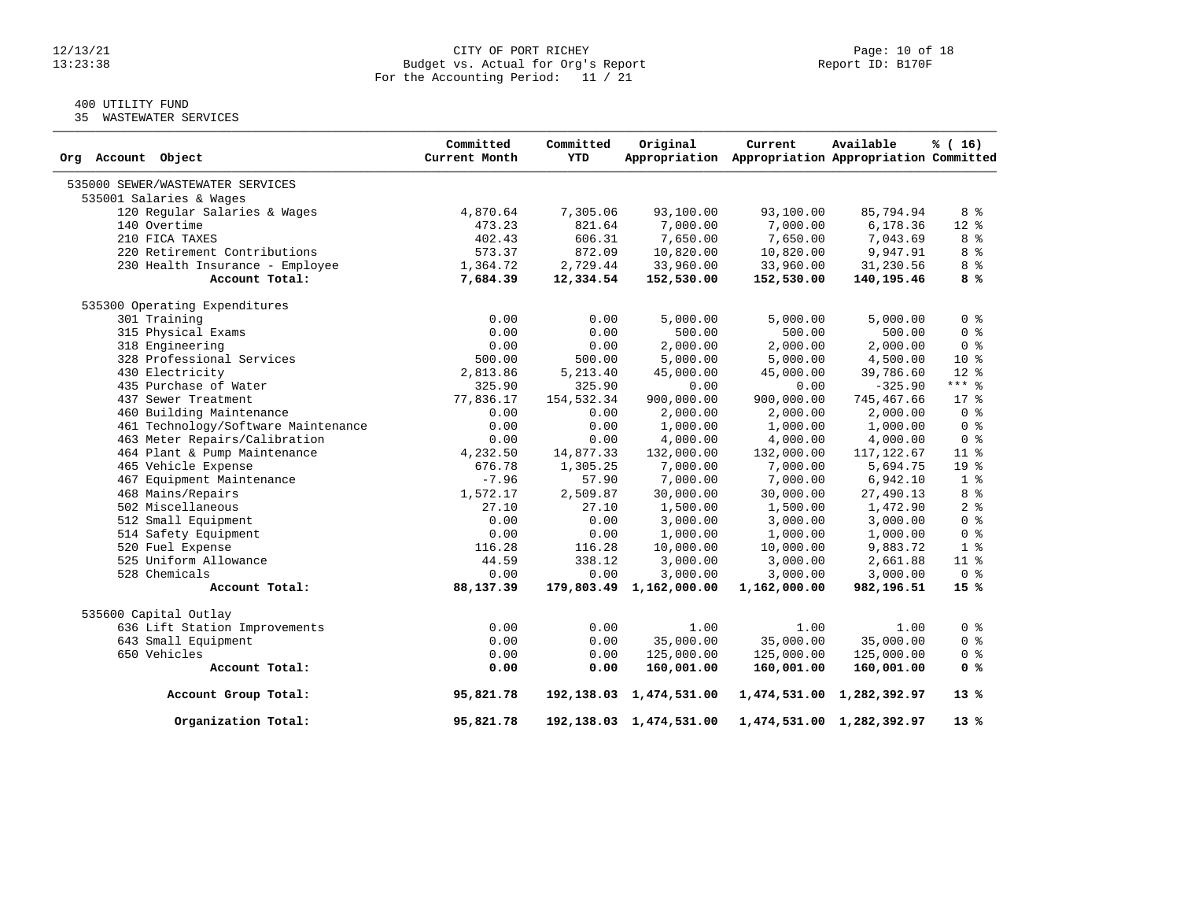### $12/13/21$  Page: 10 of 18<br>Budget vs. Actual for Org's Report Page: 10 of 18<br>Report ID: B170F 13:23:38 Budget vs. Actual for Org's Report Report ID: B170F For the Accounting Period: 11 / 21

# 400 UTILITY FUND

35 WASTEWATER SERVICES

| Org Account Object                  | Committed<br>Current Month | Committed<br><b>YTD</b> | Original                   | Current<br>Appropriation Appropriation Appropriation Committed | Available                 | % (16)          |
|-------------------------------------|----------------------------|-------------------------|----------------------------|----------------------------------------------------------------|---------------------------|-----------------|
| 535000 SEWER/WASTEWATER SERVICES    |                            |                         |                            |                                                                |                           |                 |
| 535001 Salaries & Wages             |                            |                         |                            |                                                                |                           |                 |
| 120 Regular Salaries & Wages        | 4,870.64                   | 7,305.06                | 93,100.00                  | 93,100.00                                                      | 85,794.94                 | 8 %             |
| 140 Overtime                        | 473.23                     | 821.64                  | 7,000.00                   | 7,000.00                                                       | 6,178.36                  | $12*$           |
| 210 FICA TAXES                      | 402.43                     | 606.31                  | 7,650.00                   | 7,650.00                                                       | 7,043.69                  | 8 <sup>8</sup>  |
| 220 Retirement Contributions        | 573.37                     | 872.09                  | 10,820.00                  | 10,820.00                                                      | 9,947.91                  | 8 %             |
| 230 Health Insurance - Employee     | 1,364.72                   | 2,729.44                | 33,960.00                  | 33,960.00                                                      | 31,230.56                 | 8 %             |
| Account Total:                      | 7,684.39                   | 12,334.54               | 152,530.00                 | 152,530.00                                                     | 140,195.46                | 8 %             |
| 535300 Operating Expenditures       |                            |                         |                            |                                                                |                           |                 |
| 301 Training                        | 0.00                       | 0.00                    | 5,000.00                   | 5,000.00                                                       | 5,000.00                  | 0 <sup>8</sup>  |
| 315 Physical Exams                  | 0.00                       | 0.00                    | 500.00                     | 500.00                                                         | 500.00                    | 0 <sup>8</sup>  |
| 318 Engineering                     | 0.00                       | 0.00                    | 2,000.00                   | 2,000.00                                                       | 2,000.00                  | 0 <sup>8</sup>  |
| 328 Professional Services           | 500.00                     | 500.00                  | 5,000.00                   | 5,000.00                                                       | 4,500.00                  | $10*$           |
| 430 Electricity                     | 2,813.86                   | 5,213.40                | 45,000.00                  | 45,000.00                                                      | 39,786.60                 | $12*$           |
| 435 Purchase of Water               | 325.90                     | 325.90                  | 0.00                       | 0.00                                                           | $-325.90$                 | $***$ $-$       |
| 437 Sewer Treatment                 | 77,836.17                  | 154,532.34              | 900,000.00                 | 900,000.00                                                     | 745,467.66                | $17*$           |
| 460 Building Maintenance            | 0.00                       | 0.00                    | 2,000.00                   | 2,000.00                                                       | 2,000.00                  | 0 <sup>8</sup>  |
| 461 Technology/Software Maintenance | 0.00                       | 0.00                    | 1,000.00                   | 1,000.00                                                       | 1,000.00                  | 0 <sup>8</sup>  |
| 463 Meter Repairs/Calibration       | 0.00                       | 0.00                    | 4,000.00                   | 4,000.00                                                       | 4,000.00                  | 0 <sup>8</sup>  |
| 464 Plant & Pump Maintenance        | 4,232.50                   | 14,877.33               | 132,000.00                 | 132,000.00                                                     | 117,122.67                | 11 <sup>°</sup> |
| 465 Vehicle Expense                 | 676.78                     | 1,305.25                | 7,000.00                   | 7,000.00                                                       | 5,694.75                  | 19 %            |
| 467 Equipment Maintenance           | $-7.96$                    | 57.90                   | 7,000.00                   | 7,000.00                                                       | 6,942.10                  | 1 <sup>8</sup>  |
| 468 Mains/Repairs                   | 1,572.17                   | 2,509.87                | 30,000.00                  | 30,000.00                                                      | 27,490.13                 | 8 <sup>8</sup>  |
| 502 Miscellaneous                   | 27.10                      | 27.10                   | 1,500.00                   | 1,500.00                                                       | 1,472.90                  | 2 <sup>8</sup>  |
| 512 Small Equipment                 | 0.00                       | 0.00                    | 3,000.00                   | 3,000.00                                                       | 3,000.00                  | 0 <sup>8</sup>  |
| 514 Safety Equipment                | 0.00                       | 0.00                    | 1,000.00                   | 1,000.00                                                       | 1,000.00                  | 0 <sup>8</sup>  |
| 520 Fuel Expense                    | 116.28                     | 116.28                  | 10,000.00                  | 10,000.00                                                      | 9,883.72                  | 1 <sup>°</sup>  |
| 525 Uniform Allowance               | 44.59                      | 338.12                  | 3,000.00                   | 3,000.00                                                       | 2,661.88                  | $11*$           |
| 528 Chemicals                       | 0.00                       | 0.00                    | 3,000.00                   | 3,000.00                                                       | 3,000.00                  | 0 <sup>8</sup>  |
| Account Total:                      | 88,137.39                  |                         | 179,803.49 1,162,000.00    | 1,162,000.00                                                   | 982,196.51                | 15 %            |
| 535600 Capital Outlay               |                            |                         |                            |                                                                |                           |                 |
| 636 Lift Station Improvements       | 0.00                       | 0.00                    | 1.00                       | 1.00                                                           | 1.00                      | 0 <sup>8</sup>  |
| 643 Small Equipment                 | 0.00                       | 0.00                    | 35,000.00                  | 35,000.00                                                      | 35,000.00                 | 0 <sup>8</sup>  |
| 650 Vehicles                        | 0.00                       | 0.00                    | 125,000.00                 | 125,000.00                                                     | 125,000.00                | 0 <sup>8</sup>  |
| Account Total:                      | 0.00                       | 0.00                    | 160,001.00                 | 160,001.00                                                     | 160,001.00                | 0 %             |
| Account Group Total:                | 95,821.78                  |                         | 192, 138.03 1, 474, 531.00 |                                                                | 1,474,531.00 1,282,392.97 | $13*$           |
| Organization Total:                 | 95,821.78                  |                         | 192, 138.03 1, 474, 531.00 |                                                                | 1,474,531.00 1,282,392.97 | $13*$           |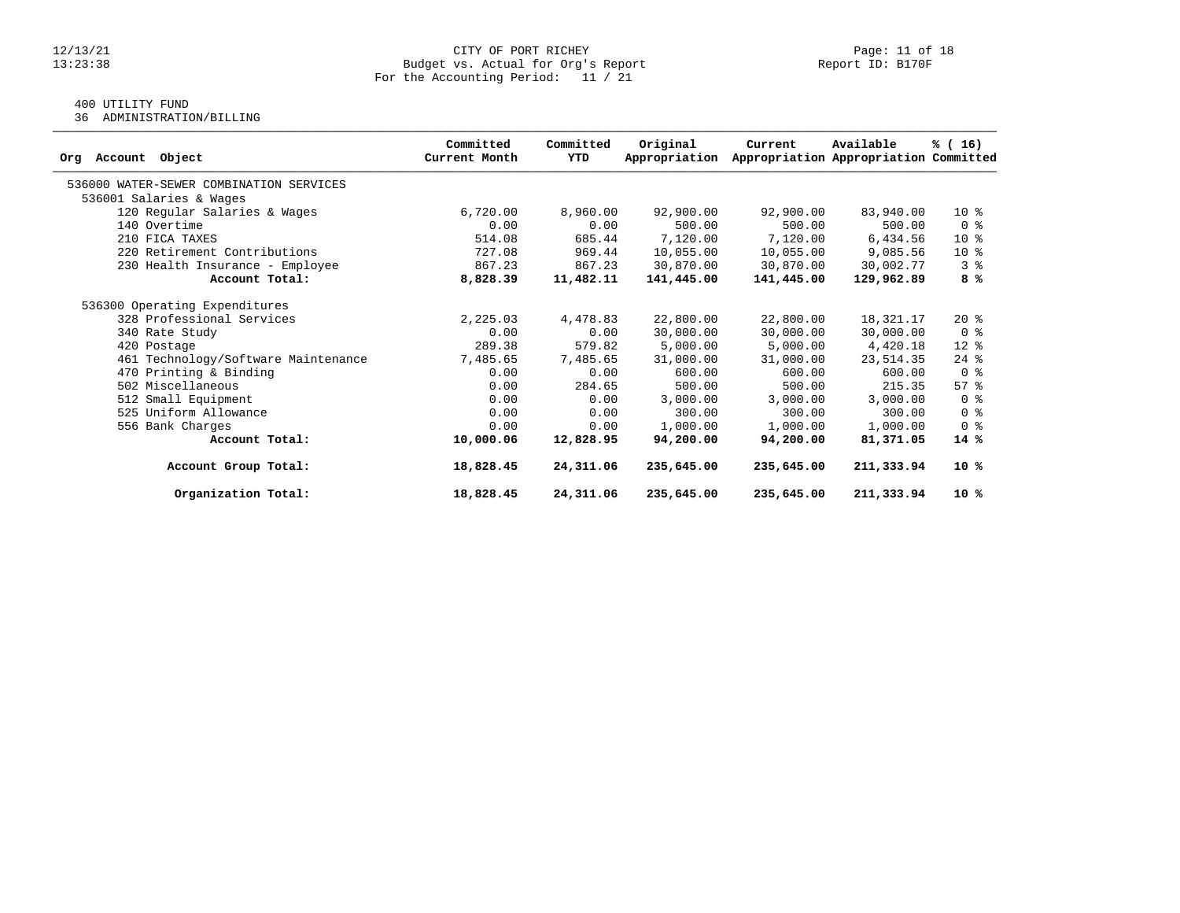### 12/13/21 CITY OF PORT RICHEY Page: 11 of 18 13:23:38 Budget vs. Actual for Org's Report Report ID: B170F For the Accounting Period: 11 / 21

# 400 UTILITY FUND

36 ADMINISTRATION/BILLING

| Object<br>Account<br>Org                | Committed<br>Current Month | Committed<br>YTD | Original<br>Appropriation | Current    | Available<br>Appropriation Appropriation Committed | % (16)                             |
|-----------------------------------------|----------------------------|------------------|---------------------------|------------|----------------------------------------------------|------------------------------------|
| 536000 WATER-SEWER COMBINATION SERVICES |                            |                  |                           |            |                                                    |                                    |
| 536001 Salaries & Wages                 |                            |                  |                           |            |                                                    |                                    |
| 120 Regular Salaries & Wages            | 6,720.00                   | 8,960.00         | 92,900.00                 | 92,900.00  | 83,940.00                                          | $10*$                              |
| 140 Overtime                            | 0.00                       | 0.00             | 500.00                    | 500.00     | 500.00                                             | 0 <sup>8</sup>                     |
| 210 FICA TAXES                          | 514.08                     | 685.44           | 7,120.00                  | 7,120.00   | 6,434.56                                           | $10*$                              |
| 220 Retirement Contributions            | 727.08                     | 969.44           | 10,055.00                 | 10,055.00  | 9,085.56                                           | $10*$                              |
| 230 Health Insurance - Employee         | 867.23                     | 867.23           | 30,870.00                 | 30,870.00  | 30,002.77                                          | 3 <sup>8</sup>                     |
| Account Total:                          | 8,828.39                   | 11,482.11        | 141,445.00                | 141,445.00 | 129,962.89                                         | 8 %                                |
| 536300 Operating Expenditures           |                            |                  |                           |            |                                                    |                                    |
| 328 Professional Services               | 2,225.03                   | 4,478.83         | 22,800.00                 | 22,800.00  | 18,321.17                                          | $20*$                              |
| 340 Rate Study                          | 0.00                       | 0.00             | 30,000.00                 | 30,000.00  | 30,000.00                                          | 0 <sup>8</sup>                     |
| 420 Postage                             | 289.38                     | 579.82           | 5,000.00                  | 5,000.00   | 4,420.18                                           | $12*$                              |
| 461 Technology/Software Maintenance     | 7,485.65                   | 7,485.65         | 31,000.00                 | 31,000.00  | 23, 514.35                                         | $24$ %                             |
| 470 Printing & Binding                  | 0.00                       | 0.00             | 600.00                    | 600.00     | 600.00                                             | 0 <sup>8</sup>                     |
| 502 Miscellaneous                       | 0.00                       | 284.65           | 500.00                    | 500.00     | 215.35                                             | $57$ $\frac{6}{3}$                 |
| 512 Small Equipment                     | 0.00                       | 0.00             | 3,000.00                  | 3,000.00   | 3,000.00                                           | 0 %                                |
| 525 Uniform Allowance                   | 0.00                       | 0.00             | 300.00                    | 300.00     | 300.00                                             | $0 \text{ }$ $\text{ }$ $\text{ }$ |
| 556 Bank Charges                        | 0.00                       | 0.00             | 1,000.00                  | 1,000.00   | 1,000.00                                           | 0 <sup>8</sup>                     |
| Account Total:                          | 10,000.06                  | 12,828.95        | 94,200.00                 | 94,200.00  | 81,371.05                                          | $14*$                              |
| Account Group Total:                    | 18,828.45                  | 24,311.06        | 235,645.00                | 235,645.00 | 211,333.94                                         | $10*$                              |
| Organization Total:                     | 18,828.45                  | 24,311.06        | 235,645.00                | 235,645.00 | 211,333.94                                         | 10 %                               |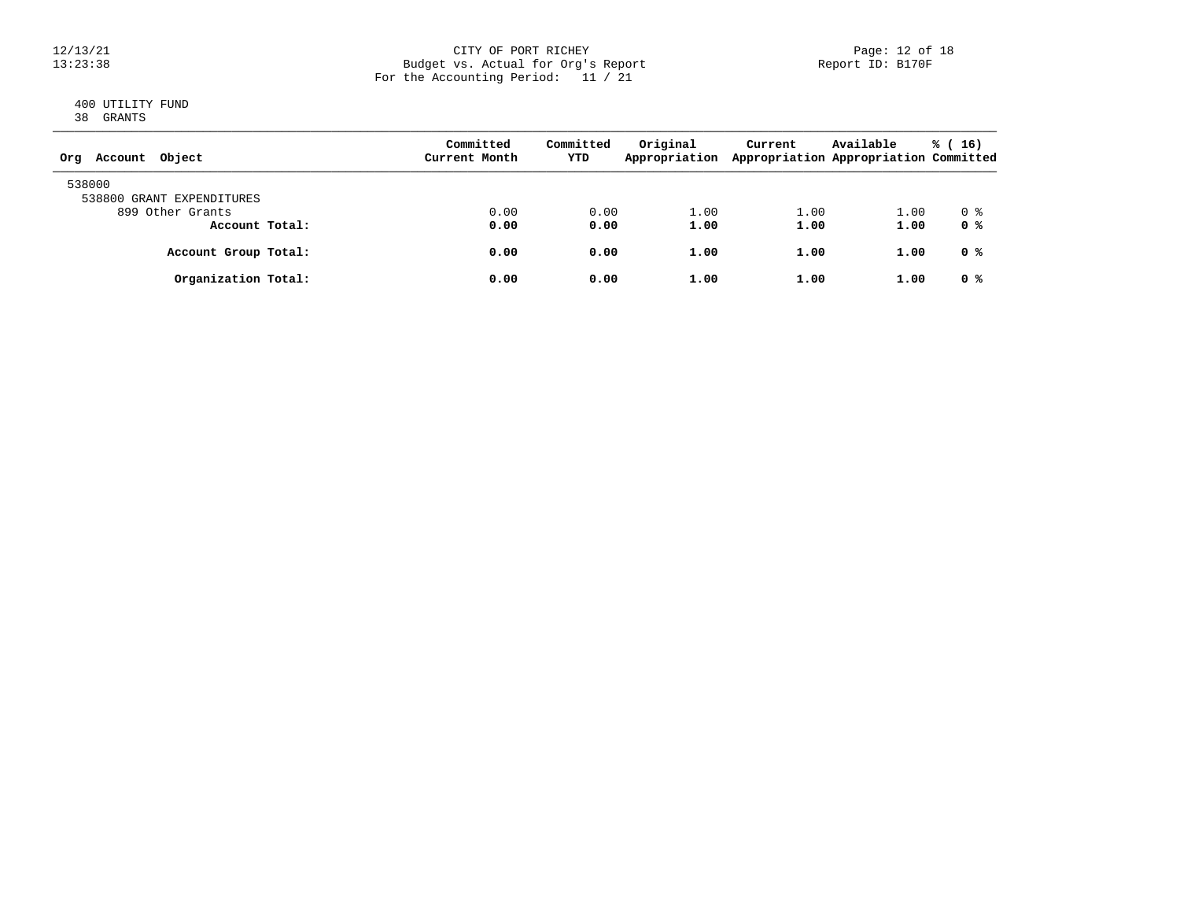### 12/13/21 CITY OF PORT RICHEY Page: 12 of 18 13:23:38 Budget vs. Actual for Org's Report Report ID: B170F For the Accounting Period: 11 / 21

### 400 UTILITY FUND 38 GRANTS

| Object<br>Account<br>Org            | Committed<br>Current Month | Committed<br>YTD | Original<br>Appropriation | Current | Available<br>Appropriation Appropriation Committed | % (<br><b>16)</b> |
|-------------------------------------|----------------------------|------------------|---------------------------|---------|----------------------------------------------------|-------------------|
| 538000<br>538800 GRANT EXPENDITURES |                            |                  |                           |         |                                                    |                   |
| 899 Other Grants                    | 0.00                       | 0.00             | 1.00                      | 1.00    | 1.00                                               | 0 %               |
| Account Total:                      | 0.00                       | 0.00             | 1.00                      | 1.00    | 1.00                                               | 0 %               |
| Account Group Total:                | 0.00                       | 0.00             | 1.00                      | 1.00    | 1.00                                               | 0 %               |
| Organization Total:                 | 0.00                       | 0.00             | 1.00                      | 1.00    | 1.00                                               | 0 %               |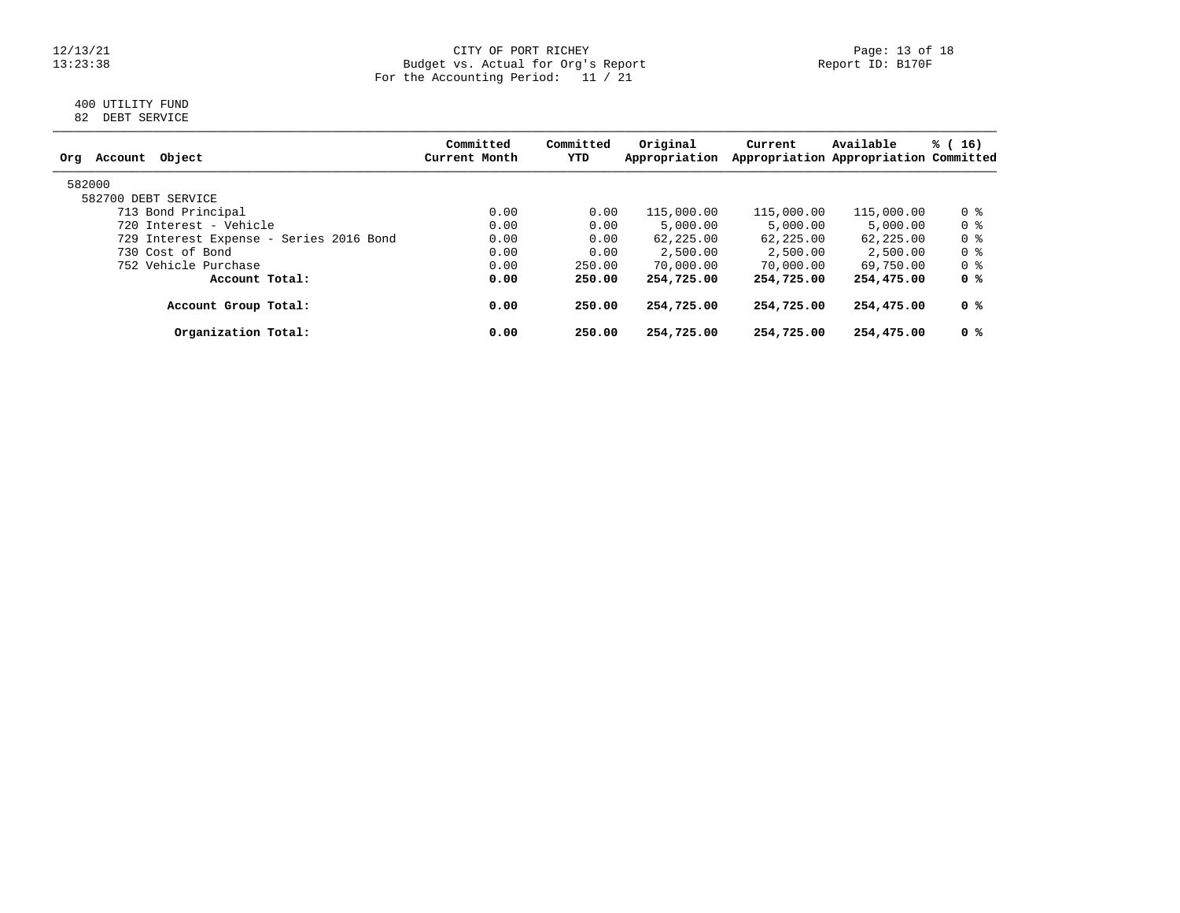### 12/13/21 CITY OF PORT RICHEY Page: 13 of 18 13:23:38 Budget vs. Actual for Org's Report Report ID: B170F For the Accounting Period: 11 / 21

### 400 UTILITY FUND 82 DEBT SERVICE

| Object<br>Account<br>Org                | Committed<br>Current Month | Committed<br>YTD | Original<br>Appropriation | Current    | Available<br>Appropriation Appropriation Committed | % (16)         |
|-----------------------------------------|----------------------------|------------------|---------------------------|------------|----------------------------------------------------|----------------|
| 582000                                  |                            |                  |                           |            |                                                    |                |
| 582700 DEBT SERVICE                     |                            |                  |                           |            |                                                    |                |
| 713 Bond Principal                      | 0.00                       | 0.00             | 115,000.00                | 115,000.00 | 115,000.00                                         | 0 %            |
| 720 Interest - Vehicle                  | 0.00                       | 0.00             | 5,000.00                  | 5,000.00   | 5,000.00                                           | 0 %            |
| 729 Interest Expense - Series 2016 Bond | 0.00                       | 0.00             | 62,225.00                 | 62,225.00  | 62,225.00                                          | 0 <sup>8</sup> |
| 730 Cost of Bond                        | 0.00                       | 0.00             | 2,500.00                  | 2,500.00   | 2,500.00                                           | 0 %            |
| 752 Vehicle Purchase                    | 0.00                       | 250.00           | 70,000.00                 | 70,000.00  | 69,750.00                                          | 0 %            |
| Account Total:                          | 0.00                       | 250.00           | 254,725.00                | 254,725.00 | 254,475.00                                         | 0 %            |
| Account Group Total:                    | 0.00                       | 250.00           | 254,725.00                | 254,725.00 | 254,475.00                                         | 0 %            |
| Organization Total:                     | 0.00                       | 250.00           | 254,725.00                | 254,725.00 | 254,475.00                                         | 0 %            |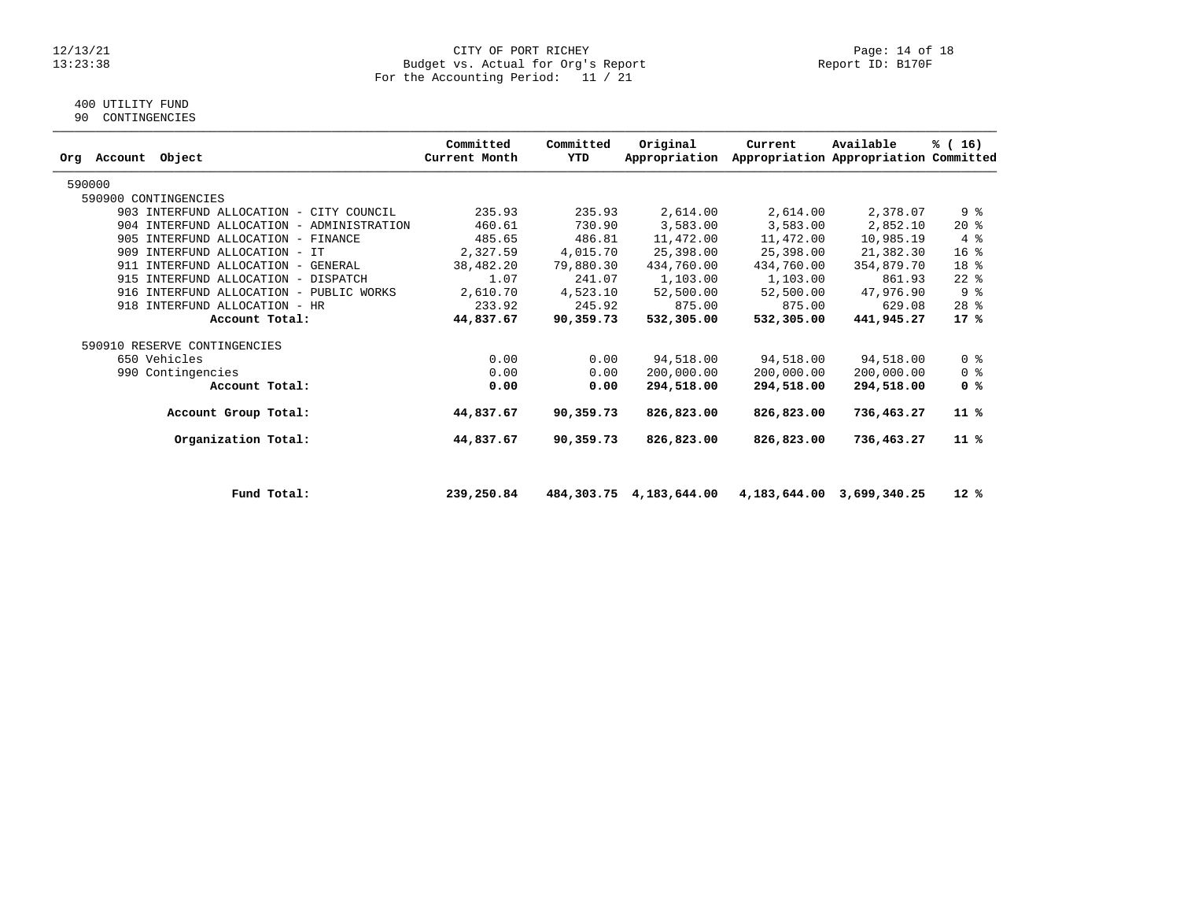#### 12/13/21 CITY OF PORT RICHEY Page: 14 of 18 13:23:38 Budget vs. Actual for Org's Report Report ID: B170F For the Accounting Period: 11 / 21

### 400 UTILITY FUND

90 CONTINGENCIES

| Account<br>Orq | Object                                    | Committed<br>Current Month | Committed<br>YTD | Original<br>Appropriation | Current    | Available<br>Appropriation Appropriation Committed | % (16)          |
|----------------|-------------------------------------------|----------------------------|------------------|---------------------------|------------|----------------------------------------------------|-----------------|
| 590000         |                                           |                            |                  |                           |            |                                                    |                 |
|                | 590900 CONTINGENCIES                      |                            |                  |                           |            |                                                    |                 |
|                | 903 INTERFUND ALLOCATION - CITY COUNCIL   | 235.93                     | 235.93           | 2,614.00                  | 2,614.00   | 2,378.07                                           | 9 %             |
|                | 904 INTERFUND ALLOCATION - ADMINISTRATION | 460.61                     | 730.90           | 3,583.00                  | 3,583.00   | 2,852.10                                           | $20*$           |
|                | 905 INTERFUND ALLOCATION - FINANCE        | 485.65                     | 486.81           | 11,472.00                 | 11,472.00  | 10,985.19                                          | 4%              |
|                | 909 INTERFUND ALLOCATION - IT             | 2,327.59                   | 4,015.70         | 25,398.00                 | 25,398.00  | 21,382.30                                          | 16 <sup>8</sup> |
|                | 911 INTERFUND ALLOCATION - GENERAL        | 38,482.20                  | 79,880.30        | 434,760.00                | 434,760.00 | 354,879.70                                         | 18 %            |
|                | 915 INTERFUND ALLOCATION - DISPATCH       | 1.07                       | 241.07           | 1,103.00                  | 1,103.00   | 861.93                                             | $22$ $%$        |
|                | 916 INTERFUND ALLOCATION - PUBLIC WORKS   | 2,610.70                   | 4,523.10         | 52,500.00                 | 52,500.00  | 47,976.90                                          | 9%              |
|                | 918 INTERFUND ALLOCATION - HR             | 233.92                     | 245.92           | 875.00                    | 875.00     | 629.08                                             | $28$ %          |
|                | Account Total:                            | 44,837.67                  | 90,359.73        | 532,305.00                | 532,305,00 | 441,945.27                                         | $17*$           |
|                | 590910 RESERVE CONTINGENCIES              |                            |                  |                           |            |                                                    |                 |
|                | 650 Vehicles                              | 0.00                       | 0.00             | 94,518.00                 | 94,518.00  | 94,518.00                                          | 0 <sup>8</sup>  |
| 990            | Contingencies                             | 0.00                       | 0.00             | 200,000.00                | 200,000.00 | 200,000.00                                         | 0 <sup>8</sup>  |
|                | Account Total:                            | 0.00                       | 0.00             | 294,518.00                | 294,518.00 | 294,518.00                                         | 0 <sup>8</sup>  |
|                | Account Group Total:                      | 44,837.67                  | 90,359.73        | 826,823.00                | 826,823.00 | 736,463.27                                         | 11 %            |
|                | Organization Total:                       | 44,837.67                  | 90,359.73        | 826,823.00                | 826,823.00 | 736,463.27                                         | 11 %            |
|                |                                           |                            |                  |                           |            |                                                    |                 |

 **Fund Total: 239,250.84 484,303.75 4,183,644.00 4,183,644.00 3,699,340.25 12 %**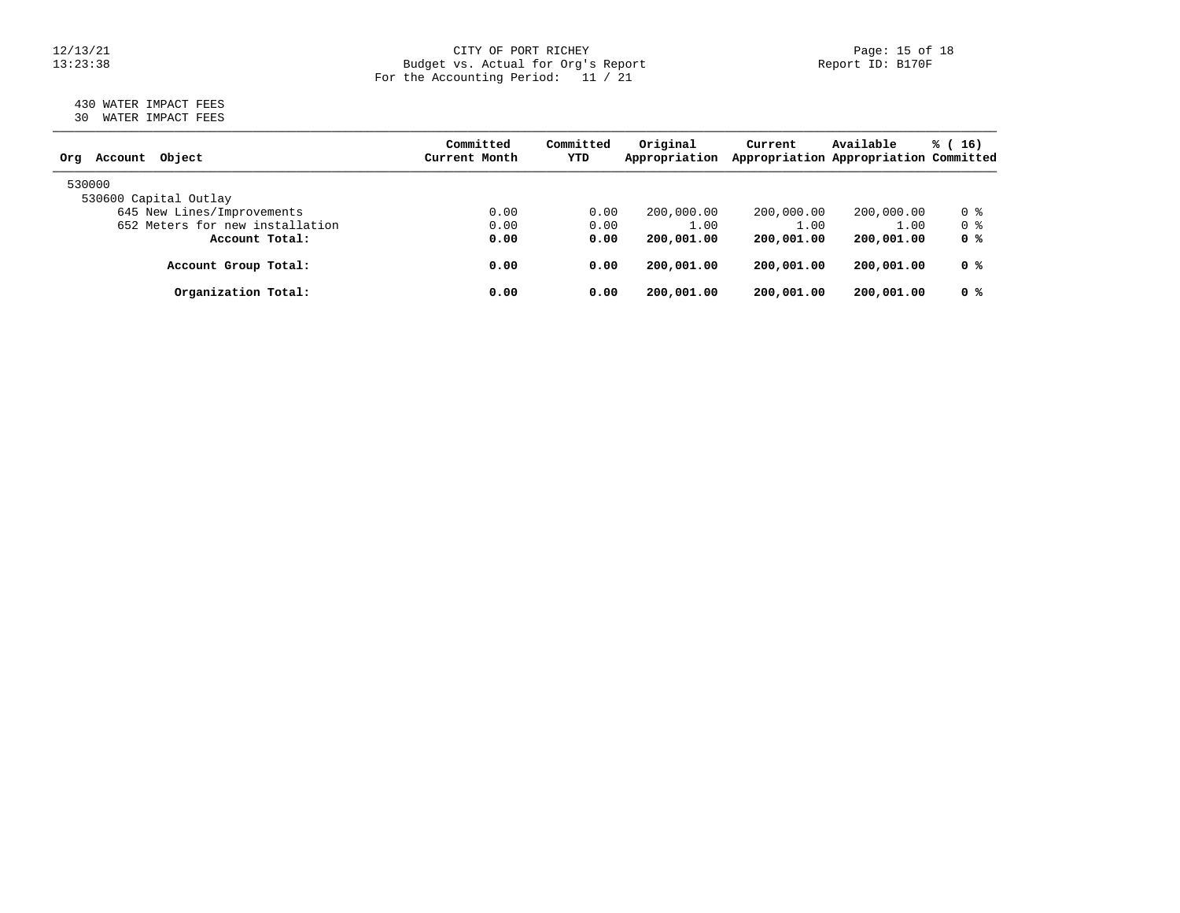### 12/13/21 CITY OF PORT RICHEY Page: 15 of 18 13:23:38 Budget vs. Actual for Org's Report Report ID: B170F For the Accounting Period: 11 / 21

### 430 WATER IMPACT FEES 30 WATER IMPACT FEES

| Account Object<br>Orq           | Committed<br>Current Month | Committed<br>YTD | Original<br>Appropriation | Current    | Available<br>Appropriation Appropriation Committed | $\frac{1}{6}$ (16) |
|---------------------------------|----------------------------|------------------|---------------------------|------------|----------------------------------------------------|--------------------|
| 530000                          |                            |                  |                           |            |                                                    |                    |
| 530600 Capital Outlay           |                            |                  |                           |            |                                                    |                    |
| 645 New Lines/Improvements      | 0.00                       | 0.00             | 200,000.00                | 200,000.00 | 200,000.00                                         | 0 %                |
| 652 Meters for new installation | 0.00                       | 0.00             | 1.00                      | 1.00       | 1.00                                               | 0 %                |
| Account Total:                  | 0.00                       | 0.00             | 200,001.00                | 200,001.00 | 200,001.00                                         | 0 <sup>8</sup>     |
| Account Group Total:            | 0.00                       | 0.00             | 200,001.00                | 200,001.00 | 200,001.00                                         | 0 %                |
| Organization Total:             | 0.00                       | 0.00             | 200,001.00                | 200,001.00 | 200,001.00                                         | 0 %                |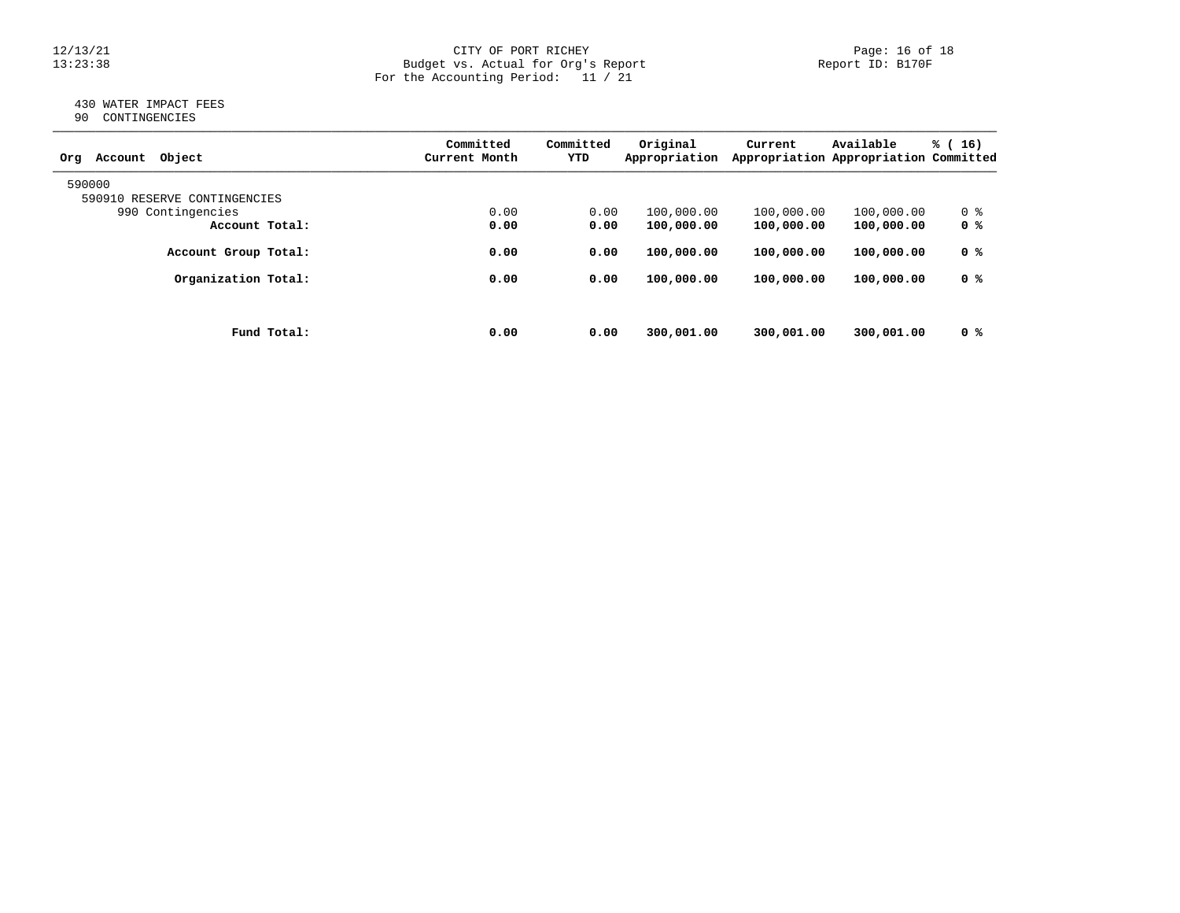### 12/13/21 CITY OF PORT RICHEY Page: 16 of 18 13:23:38 Budget vs. Actual for Org's Report Report ID: B170F For the Accounting Period: 11 / 21

### 430 WATER IMPACT FEES 90 CONTINGENCIES

|                              |             | Committed     | Committed | Original      | Current    | Available                             | % (<br>16) |
|------------------------------|-------------|---------------|-----------|---------------|------------|---------------------------------------|------------|
| Object<br>Account<br>Org     |             | Current Month | YTD       | Appropriation |            | Appropriation Appropriation Committed |            |
| 590000                       |             |               |           |               |            |                                       |            |
| 590910 RESERVE CONTINGENCIES |             |               |           |               |            |                                       |            |
| 990 Contingencies            |             | 0.00          | 0.00      | 100,000.00    | 100,000.00 | 100,000.00                            | 0 %        |
| Account Total:               |             | 0.00          | 0.00      | 100,000.00    | 100,000.00 | 100,000.00                            | 0 %        |
| Account Group Total:         |             | 0.00          | 0.00      | 100,000.00    | 100,000.00 | 100,000.00                            | 0 %        |
| Organization Total:          |             | 0.00          | 0.00      | 100,000.00    | 100,000.00 | 100,000.00                            | 0 %        |
|                              |             |               |           |               |            |                                       |            |
|                              | Fund Total: | 0.00          | 0.00      | 300,001.00    | 300,001.00 | 300,001.00                            | 0 %        |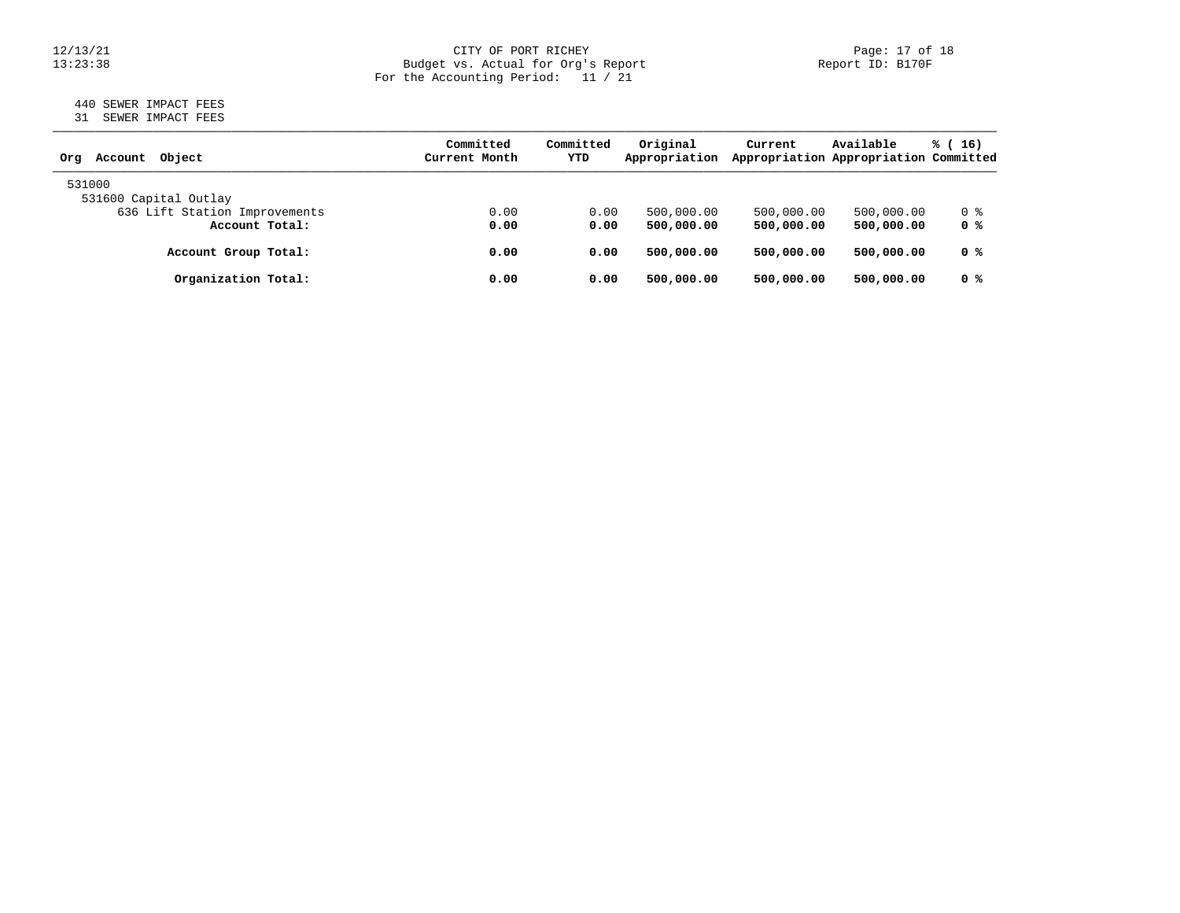### 12/13/21 CITY OF PORT RICHEY Page: 17 of 18 13:23:38 Budget vs. Actual for Org's Report Report ID: B170F For the Accounting Period: 11 / 21

#### 440 SEWER IMPACT FEES 31 SEWER IMPACT FEES

| Obiect<br>Account<br>Orq      | Committed<br>Current Month | Committed<br>YTD | Original<br>Appropriation | Current    | Available<br>Appropriation Appropriation Committed | $\frac{1}{6}$ (16) |
|-------------------------------|----------------------------|------------------|---------------------------|------------|----------------------------------------------------|--------------------|
| 531000                        |                            |                  |                           |            |                                                    |                    |
| 531600 Capital Outlay         |                            |                  |                           |            |                                                    |                    |
| 636 Lift Station Improvements | 0.00                       | 0.00             | 500,000.00                | 500,000.00 | 500,000.00                                         | 0 %                |
| Account Total:                | 0.00                       | 0.00             | 500,000.00                | 500,000.00 | 500,000.00                                         | 0 <sup>8</sup>     |
| Account Group Total:          | 0.00                       | 0.00             | 500,000.00                | 500,000,00 | 500,000.00                                         | 0 <sup>8</sup>     |
| Organization Total:           | 0.00                       | 0.00             | 500,000.00                | 500,000.00 | 500,000.00                                         | 0 %                |